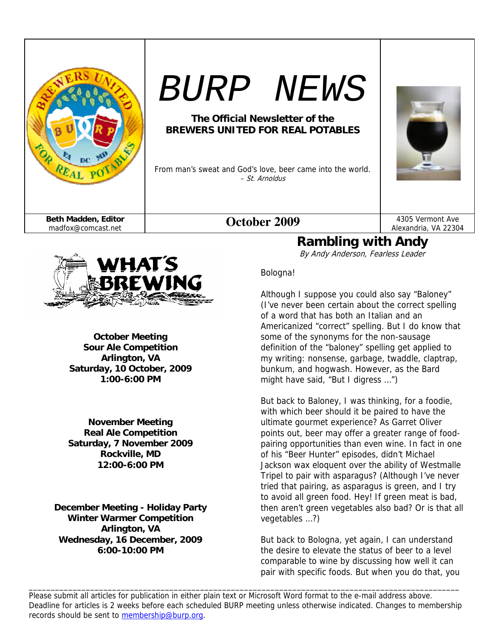

# *BURP NEWS*

## **The Official Newsletter of the BREWERS UNITED FOR REAL POTABLES**

From man's sweat and God's love, beer came into the world. – St. Arnoldus



Alexandria, VA 22304



**October Meeting Sour Ale Competition Arlington, VA Saturday, 10 October, 2009 1:00-6:00 PM** 

**November Meeting Real Ale Competition Saturday, 7 November 2009 Rockville, MD 12:00-6:00 PM** 

**December Meeting - Holiday Party Winter Warmer Competition Arlington, VA Wednesday, 16 December, 2009 6:00-10:00 PM** 

### Bologna!

Although I suppose you could also say "Baloney" (I've never been certain about the correct spelling of a word that has both an Italian and an Americanized "correct" spelling. But I do know that some of the synonyms for the non-sausage definition of the "baloney" spelling get applied to my writing: nonsense, garbage, twaddle, claptrap, bunkum, and hogwash. However, as the Bard might have said, "But I digress …")

**Rambling with Andy**  By Andy Anderson, Fearless Leader

But back to Baloney, I was thinking, for a foodie, with which beer should it be paired to have the ultimate gourmet experience? As Garret Oliver points out, beer may offer a greater range of foodpairing opportunities than even wine. In fact in one of his "Beer Hunter" episodes, didn't Michael Jackson wax eloquent over the ability of Westmalle Tripel to pair with asparagus? (Although I've never tried that pairing, as asparagus is green, and I try to avoid all green food. Hey! If green meat is bad, then aren't green vegetables also bad? Or is that all vegetables …?)

But back to Bologna, yet again, I can understand the desire to elevate the status of beer to a level comparable to wine by discussing how well it can pair with specific foods. But when you do that, you

Please submit all articles for publication in either plain text or Microsoft Word format to the e-mail address above. Deadline for articles is 2 weeks before each scheduled BURP meeting unless otherwise indicated. Changes to membership records should be sent to membership@burp.org.

\_\_\_\_\_\_\_\_\_\_\_\_\_\_\_\_\_\_\_\_\_\_\_\_\_\_\_\_\_\_\_\_\_\_\_\_\_\_\_\_\_\_\_\_\_\_\_\_\_\_\_\_\_\_\_\_\_\_\_\_\_\_\_\_\_\_\_\_\_\_\_\_\_\_\_\_\_\_\_\_\_\_\_\_\_\_\_\_\_\_\_\_\_\_\_\_\_\_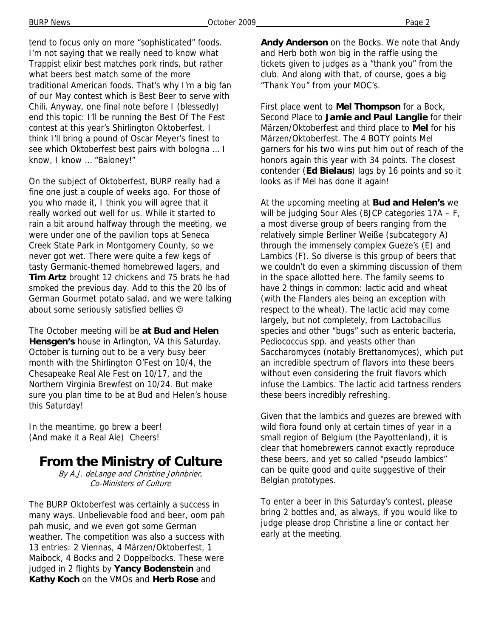BURP News **Page 2 Page 2 Page 2 Page 2 Page 2 Page 2 Page 2 Page 2 Page 2** 

tend to focus only on more "sophisticated" foods. I'm not saying that we really need to know what Trappist elixir best matches pork rinds, but rather what beers best match some of the more traditional American foods. That's why I'm a big fan of our May contest which is Best Beer to serve with Chili. Anyway, one final note before I (blessedly) end this topic: I'll be running the Best Of The Fest contest at this year's Shirlington Oktoberfest. I think I'll bring a pound of Oscar Meyer's finest to see which Oktoberfest best pairs with bologna … I know, I know … "Baloney!"

On the subject of Oktoberfest, BURP really had a fine one just a couple of weeks ago. For those of you who made it, I think you will agree that it really worked out well for us. While it started to rain a bit around halfway through the meeting, we were under one of the pavilion tops at Seneca Creek State Park in Montgomery County, so we never got wet. There were quite a few kegs of tasty Germanic-themed homebrewed lagers, and **Tim Artz** brought 12 chickens and 75 brats he had smoked the previous day. Add to this the 20 lbs of German Gourmet potato salad, and we were talking about some seriously satisfied bellies  $\odot$ 

The October meeting will be **at Bud and Helen Hensgen's** house in Arlington, VA this Saturday. October is turning out to be a very busy beer month with the Shirlington O'Fest on 10/4, the Chesapeake Real Ale Fest on 10/17, and the Northern Virginia Brewfest on 10/24. But make sure you plan time to be at Bud and Helen's house this Saturday!

In the meantime, go brew a beer! (And make it a Real Ale) Cheers!

## **From the Ministry of Culture**

By A.J. deLange and Christine Johnbrier, Co-Ministers of Culture

The BURP Oktoberfest was certainly a success in many ways. Unbelievable food and beer, oom pah pah music, and we even got some German weather. The competition was also a success with 13 entries: 2 Viennas, 4 Märzen/Oktoberfest, 1 Maibock, 4 Bocks and 2 Doppelbocks. These were judged in 2 flights by **Yancy Bodenstein** and **Kathy Koch** on the VMOs and **Herb Rose** and

**Andy Anderson** on the Bocks. We note that Andy and Herb both won big in the raffle using the tickets given to judges as a "thank you" from the club. And along with that, of course, goes a big "Thank You" from your MOC's.

First place went to **Mel Thompson** for a Bock, Second Place to **Jamie and Paul Langlie** for their Märzen/Oktoberfest and third place to **Mel** for his Märzen/Oktoberfest. The 4 BOTY points Mel garners for his two wins put him out of reach of the honors again this year with 34 points. The closest contender (**Ed Bielaus**) lags by 16 points and so it looks as if Mel has done it again!

At the upcoming meeting at **Bud and Helen's** we will be judging Sour Ales (BJCP categories 17A - F, a most diverse group of beers ranging from the relatively simple Berliner Weiße (subcategory A) through the immensely complex Gueze's (E) and Lambics (F). So diverse is this group of beers that we couldn't do even a skimming discussion of them in the space allotted here. The family seems to have 2 things in common: lactic acid and wheat (with the Flanders ales being an exception with respect to the wheat). The lactic acid may come largely, but not completely, from Lactobacillus species and other "bugs" such as enteric bacteria, Pediococcus spp. and yeasts other than Saccharomyces (notably Brettanomyces), which put an incredible spectrum of flavors into these beers without even considering the fruit flavors which infuse the Lambics. The lactic acid tartness renders these beers incredibly refreshing.

Given that the lambics and guezes are brewed with wild flora found only at certain times of year in a small region of Belgium (the Payottenland), it is clear that homebrewers cannot exactly reproduce these beers, and yet so called "pseudo lambics" can be quite good and quite suggestive of their Belgian prototypes.

To enter a beer in this Saturday's contest, please bring 2 bottles and, as always, if you would like to judge please drop Christine a line or contact her early at the meeting.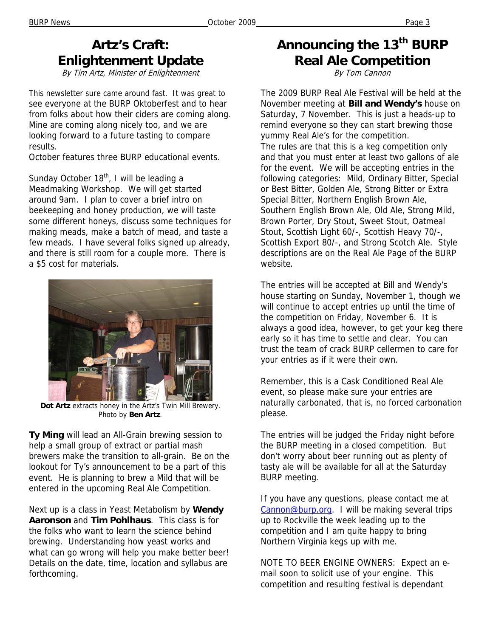# **Artz's Craft: Enlightenment Update**

By Tim Artz, Minister of Enlightenment

This newsletter sure came around fast. It was great to see everyone at the BURP Oktoberfest and to hear from folks about how their ciders are coming along. Mine are coming along nicely too, and we are looking forward to a future tasting to compare results.

October features three BURP educational events.

Sunday October  $18<sup>th</sup>$ , I will be leading a Meadmaking Workshop. We will get started around 9am. I plan to cover a brief intro on beekeeping and honey production, we will taste some different honeys, discuss some techniques for making meads, make a batch of mead, and taste a few meads. I have several folks signed up already, and there is still room for a couple more. There is a \$5 cost for materials.



**Dot Artz** extracts honey in the Artz's Twin Mill Brewery. Photo by **Ben Artz**.

**Ty Ming** will lead an All-Grain brewing session to help a small group of extract or partial mash brewers make the transition to all-grain. Be on the lookout for Ty's announcement to be a part of this event. He is planning to brew a Mild that will be entered in the upcoming Real Ale Competition.

Next up is a class in Yeast Metabolism by **Wendy Aaronson** and **Tim Pohlhaus**. This class is for the folks who want to learn the science behind brewing. Understanding how yeast works and what can go wrong will help you make better beer! Details on the date, time, location and syllabus are forthcoming.

# Announcing the 13<sup>th</sup> BURP **Real Ale Competition**

By Tom Cannon

The 2009 BURP Real Ale Festival will be held at the November meeting at **Bill and Wendy's** house on Saturday, 7 November. This is just a heads-up to remind everyone so they can start brewing those yummy Real Ale's for the competition. The rules are that this is a keg competition only and that you must enter at least two gallons of ale for the event. We will be accepting entries in the following categories: Mild, Ordinary Bitter, Special or Best Bitter, Golden Ale, Strong Bitter or Extra Special Bitter, Northern English Brown Ale, Southern English Brown Ale, Old Ale, Strong Mild, Brown Porter, Dry Stout, Sweet Stout, Oatmeal Stout, Scottish Light 60/-, Scottish Heavy 70/-, Scottish Export 80/-, and Strong Scotch Ale. Style descriptions are on the Real Ale Page of the BURP website.

The entries will be accepted at Bill and Wendy's house starting on Sunday, November 1, though we will continue to accept entries up until the time of the competition on Friday, November 6. It is always a good idea, however, to get your keg there early so it has time to settle and clear. You can trust the team of crack BURP cellermen to care for your entries as if it were their own.

Remember, this is a Cask Conditioned Real Ale event, so please make sure your entries are naturally carbonated, that is, no forced carbonation please.

The entries will be judged the Friday night before the BURP meeting in a closed competition. But don't worry about beer running out as plenty of tasty ale will be available for all at the Saturday BURP meeting.

If you have any questions, please contact me at Cannon@burp.org. I will be making several trips up to Rockville the week leading up to the competition and I am quite happy to bring Northern Virginia kegs up with me.

NOTE TO BEER ENGINE OWNERS: Expect an email soon to solicit use of your engine. This competition and resulting festival is dependant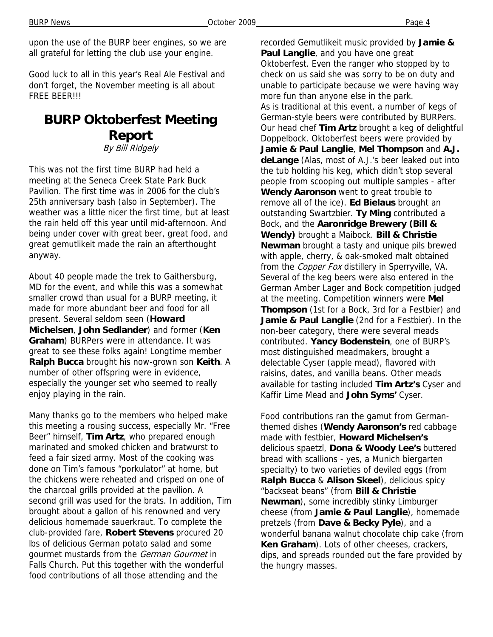BURP News **Page 4 Page 4 Page 4 Page 4 Page 4 Page 4 Page 4 Page 4 Page 4** 

Good luck to all in this year's Real Ale Festival and don't forget, the November meeting is all about FREE BEER!!!

# **BURP Oktoberfest Meeting Report**

By Bill Ridgely

This was not the first time BURP had held a meeting at the Seneca Creek State Park Buck Pavilion. The first time was in 2006 for the club's 25th anniversary bash (also in September). The weather was a little nicer the first time, but at least the rain held off this year until mid-afternoon. And being under cover with great beer, great food, and great gemutlikeit made the rain an afterthought anyway.

About 40 people made the trek to Gaithersburg, MD for the event, and while this was a somewhat smaller crowd than usual for a BURP meeting, it made for more abundant beer and food for all present. Several seldom seen (**Howard Michelsen**, **John Sedlander**) and former (**Ken Graham**) BURPers were in attendance. It was great to see these folks again! Longtime member **Ralph Bucca** brought his now-grown son **Keith**. A number of other offspring were in evidence, especially the younger set who seemed to really enjoy playing in the rain.

Many thanks go to the members who helped make this meeting a rousing success, especially Mr. "Free Beer" himself, **Tim Artz**, who prepared enough marinated and smoked chicken and bratwurst to feed a fair sized army. Most of the cooking was done on Tim's famous "porkulator" at home, but the chickens were reheated and crisped on one of the charcoal grills provided at the pavilion. A second grill was used for the brats. In addition, Tim brought about a gallon of his renowned and very delicious homemade sauerkraut. To complete the club-provided fare, **Robert Stevens** procured 20 lbs of delicious German potato salad and some gourmet mustards from the German Gourmet in Falls Church. Put this together with the wonderful food contributions of all those attending and the

recorded Gemutlikeit music provided by **Jamie & Paul Langlie**, and you have one great Oktoberfest. Even the ranger who stopped by to check on us said she was sorry to be on duty and unable to participate because we were having way more fun than anyone else in the park. As is traditional at this event, a number of kegs of German-style beers were contributed by BURPers. Our head chef **Tim Artz** brought a keg of delightful Doppelbock. Oktoberfest beers were provided by **Jamie & Paul Langlie**, **Mel Thompson** and **A.J. deLange** (Alas, most of A.J.'s beer leaked out into the tub holding his keg, which didn't stop several people from scooping out multiple samples - after **Wendy Aaronson** went to great trouble to remove all of the ice). **Ed Bielaus** brought an outstanding Swartzbier. **Ty Ming** contributed a Bock, and the **Aaronridge Brewery (Bill & Wendy)** brought a Maibock. **Bill & Christie Newman** brought a tasty and unique pils brewed with apple, cherry, & oak-smoked malt obtained from the *Copper Fox* distillery in Sperryville, VA. Several of the keg beers were also entered in the German Amber Lager and Bock competition judged at the meeting. Competition winners were **Mel Thompson** (1st for a Bock, 3rd for a Festbier) and **Jamie & Paul Langlie** (2nd for a Festbier). In the non-beer category, there were several meads contributed. **Yancy Bodenstein**, one of BURP's most distinguished meadmakers, brought a delectable Cyser (apple mead), flavored with raisins, dates, and vanilla beans. Other meads available for tasting included **Tim Artz's** Cyser and Kaffir Lime Mead and **John Syms'** Cyser.

Food contributions ran the gamut from Germanthemed dishes (**Wendy Aaronson's** red cabbage made with festbier, **Howard Michelsen's** delicious spaetzl, **Dona & Woody Lee's** buttered bread with scallions - yes, a Munich biergarten specialty) to two varieties of deviled eggs (from **Ralph Bucca** & **Alison Skeel**), delicious spicy "backseat beans" (from **Bill & Christie Newman**), some incredibly stinky Limburger cheese (from **Jamie & Paul Langlie**), homemade pretzels (from **Dave & Becky Pyle**), and a wonderful banana walnut chocolate chip cake (from **Ken Graham**). Lots of other cheeses, crackers, dips, and spreads rounded out the fare provided by the hungry masses.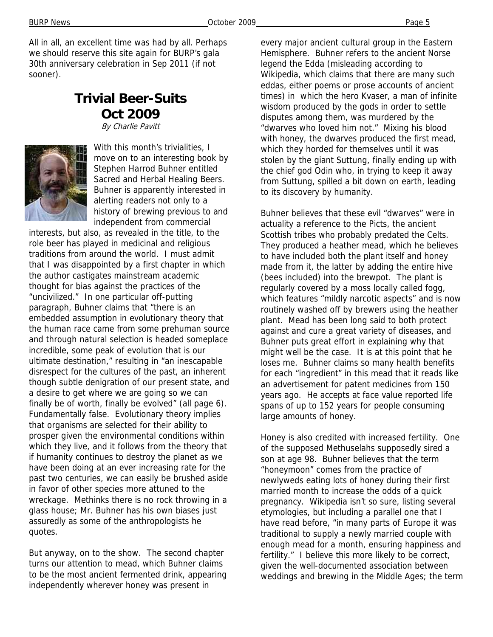All in all, an excellent time was had by all. Perhaps we should reserve this site again for BURP's gala 30th anniversary celebration in Sep 2011 (if not sooner).

## **Trivial Beer-Suits Oct 2009**

By Charlie Pavitt



With this month's trivialities. I move on to an interesting book by Stephen Harrod Buhner entitled Sacred and Herbal Healing Beers. Buhner is apparently interested in alerting readers not only to a history of brewing previous to and independent from commercial

interests, but also, as revealed in the title, to the role beer has played in medicinal and religious traditions from around the world. I must admit that I was disappointed by a first chapter in which the author castigates mainstream academic thought for bias against the practices of the "uncivilized." In one particular off-putting paragraph, Buhner claims that "there is an embedded assumption in evolutionary theory that the human race came from some prehuman source and through natural selection is headed someplace incredible, some peak of evolution that is our ultimate destination," resulting in "an inescapable disrespect for the cultures of the past, an inherent though subtle denigration of our present state, and a desire to get where we are going so we can finally be of worth, finally be evolved" (all page 6). Fundamentally false. Evolutionary theory implies that organisms are selected for their ability to prosper given the environmental conditions within which they live, and it follows from the theory that if humanity continues to destroy the planet as we have been doing at an ever increasing rate for the past two centuries, we can easily be brushed aside in favor of other species more attuned to the wreckage. Methinks there is no rock throwing in a glass house; Mr. Buhner has his own biases just assuredly as some of the anthropologists he quotes.

But anyway, on to the show. The second chapter turns our attention to mead, which Buhner claims to be the most ancient fermented drink, appearing independently wherever honey was present in

every major ancient cultural group in the Eastern Hemisphere. Buhner refers to the ancient Norse legend the Edda (misleading according to Wikipedia, which claims that there are many such eddas, either poems or prose accounts of ancient times) in which the hero Kvaser, a man of infinite wisdom produced by the gods in order to settle disputes among them, was murdered by the "dwarves who loved him not." Mixing his blood with honey, the dwarves produced the first mead, which they horded for themselves until it was stolen by the giant Suttung, finally ending up with the chief god Odin who, in trying to keep it away from Suttung, spilled a bit down on earth, leading to its discovery by humanity.

Buhner believes that these evil "dwarves" were in actuality a reference to the Picts, the ancient Scottish tribes who probably predated the Celts. They produced a heather mead, which he believes to have included both the plant itself and honey made from it, the latter by adding the entire hive (bees included) into the brewpot. The plant is regularly covered by a moss locally called fogg, which features "mildly narcotic aspects" and is now routinely washed off by brewers using the heather plant. Mead has been long said to both protect against and cure a great variety of diseases, and Buhner puts great effort in explaining why that might well be the case. It is at this point that he loses me. Buhner claims so many health benefits for each "ingredient" in this mead that it reads like an advertisement for patent medicines from 150 years ago. He accepts at face value reported life spans of up to 152 years for people consuming large amounts of honey.

Honey is also credited with increased fertility. One of the supposed Methuselahs supposedly sired a son at age 98. Buhner believes that the term "honeymoon" comes from the practice of newlyweds eating lots of honey during their first married month to increase the odds of a quick pregnancy. Wikipedia isn't so sure, listing several etymologies, but including a parallel one that I have read before, "in many parts of Europe it was traditional to supply a newly married couple with enough mead for a month, ensuring happiness and fertility." I believe this more likely to be correct, given the well-documented association between weddings and brewing in the Middle Ages; the term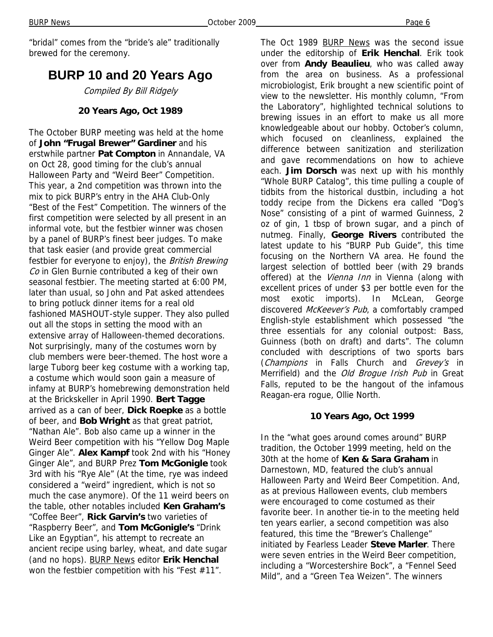"bridal" comes from the "bride's ale" traditionally brewed for the ceremony.

## **BURP 10 and 20 Years Ago**

Compiled By Bill Ridgely

#### **20 Years Ago, Oct 1989**

The October BURP meeting was held at the home of **John "Frugal Brewer" Gardiner** and his erstwhile partner **Pat Compton** in Annandale, VA on Oct 28, good timing for the club's annual Halloween Party and "Weird Beer" Competition. This year, a 2nd competition was thrown into the mix to pick BURP's entry in the AHA Club-Only "Best of the Fest" Competition. The winners of the first competition were selected by all present in an informal vote, but the festbier winner was chosen by a panel of BURP's finest beer judges. To make that task easier (and provide great commercial festbier for everyone to enjoy), the British Brewing Co in Glen Burnie contributed a keg of their own seasonal festbier. The meeting started at 6:00 PM, later than usual, so John and Pat asked attendees to bring potluck dinner items for a real old fashioned MASHOUT-style supper. They also pulled out all the stops in setting the mood with an extensive array of Halloween-themed decorations. Not surprisingly, many of the costumes worn by club members were beer-themed. The host wore a large Tuborg beer keg costume with a working tap, a costume which would soon gain a measure of infamy at BURP's homebrewing demonstration held at the Brickskeller in April 1990. **Bert Tagge**  arrived as a can of beer, **Dick Roepke** as a bottle of beer, and **Bob Wright** as that great patriot, "Nathan Ale". Bob also came up a winner in the Weird Beer competition with his "Yellow Dog Maple Ginger Ale". **Alex Kampf** took 2nd with his "Honey Ginger Ale", and BURP Prez **Tom McGonigle** took 3rd with his "Rye Ale" (At the time, rye was indeed considered a "weird" ingredient, which is not so much the case anymore). Of the 11 weird beers on the table, other notables included **Ken Graham's**  "Coffee Beer", **Rick Garvin's** two varieties of "Raspberry Beer", and **Tom McGonigle's** "Drink Like an Egyptian", his attempt to recreate an ancient recipe using barley, wheat, and date sugar (and no hops). BURP News editor **Erik Henchal**  won the festbier competition with his "Fest #11".

The Oct 1989 BURP News was the second issue under the editorship of **Erik Henchal**. Erik took over from **Andy Beaulieu**, who was called away from the area on business. As a professional microbiologist, Erik brought a new scientific point of view to the newsletter. His monthly column, "From the Laboratory", highlighted technical solutions to brewing issues in an effort to make us all more knowledgeable about our hobby. October's column, which focused on cleanliness, explained the difference between sanitization and sterilization and gave recommendations on how to achieve each. **Jim Dorsch** was next up with his monthly "Whole BURP Catalog", this time pulling a couple of tidbits from the historical dustbin, including a hot toddy recipe from the Dickens era called "Dog's Nose" consisting of a pint of warmed Guinness, 2 oz of gin, 1 tbsp of brown sugar, and a pinch of nutmeg. Finally, **George Rivers** contributed the latest update to his "BURP Pub Guide", this time focusing on the Northern VA area. He found the largest selection of bottled beer (with 29 brands offered) at the *Vienna Inn* in Vienna (along with excellent prices of under \$3 per bottle even for the most exotic imports). In McLean, George discovered McKeever's Pub, a comfortably cramped English-style establishment which possessed "the three essentials for any colonial outpost: Bass, Guinness (both on draft) and darts". The column concluded with descriptions of two sports bars (Champions in Falls Church and Grevey's in Merrifield) and the Old Brogue Irish Pub in Great Falls, reputed to be the hangout of the infamous Reagan-era rogue, Ollie North.

#### **10 Years Ago, Oct 1999**

In the "what goes around comes around" BURP tradition, the October 1999 meeting, held on the 30th at the home of **Ken & Sara Graham** in Darnestown, MD, featured the club's annual Halloween Party and Weird Beer Competition. And, as at previous Halloween events, club members were encouraged to come costumed as their favorite beer. In another tie-in to the meeting held ten years earlier, a second competition was also featured, this time the "Brewer's Challenge" initiated by Fearless Leader **Steve Marler**. There were seven entries in the Weird Beer competition, including a "Worcestershire Bock", a "Fennel Seed Mild", and a "Green Tea Weizen". The winners